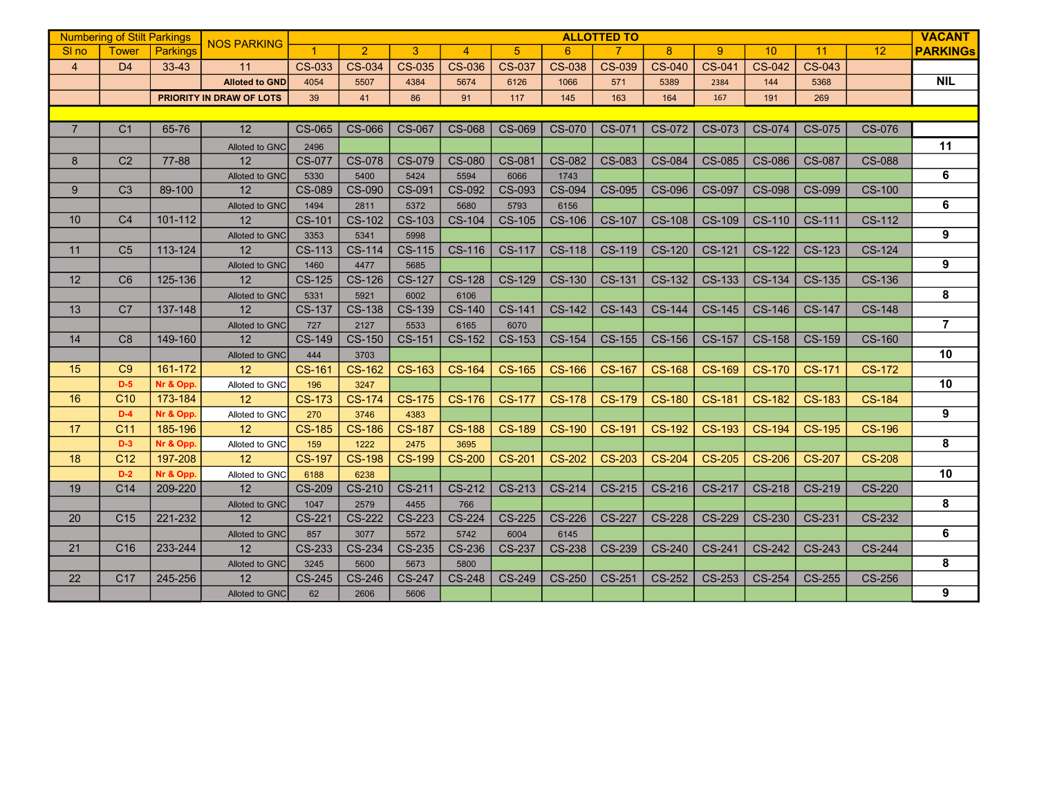|                  | <b>Numbering of Stilt Parkings</b> |           |                          | <b>ALLOTTED TO</b>   |                |               |                |               |               |               |               |               |               |               |               | <b>VACANT</b>           |
|------------------|------------------------------------|-----------|--------------------------|----------------------|----------------|---------------|----------------|---------------|---------------|---------------|---------------|---------------|---------------|---------------|---------------|-------------------------|
| SI <sub>no</sub> | <b>Tower</b>                       | Parkings  | <b>NOS PARKING</b>       | $\blacktriangleleft$ | $\overline{2}$ | 3             | $\overline{4}$ | 5             | 6             |               | 8             | 9             | 10            | 11            | 12            | <b>PARKINGS</b>         |
| $\overline{4}$   | D <sub>4</sub>                     | 33-43     | 11                       | CS-033               | CS-034         | <b>CS-035</b> | <b>CS-036</b>  | <b>CS-037</b> | <b>CS-038</b> | <b>CS-039</b> | <b>CS-040</b> | CS-041        | <b>CS-042</b> | CS-043        |               |                         |
|                  |                                    |           | <b>Alloted to GND</b>    | 4054                 | 5507           | 4384          | 5674           | 6126          | 1066          | 571           | 5389          | 2384          | 144           | 5368          |               | <b>NIL</b>              |
|                  |                                    |           | PRIORITY IN DRAW OF LOTS | 39                   | 41             | 86            | 91             | 117           | 145           | 163           | 164           | 167           | 191           | 269           |               |                         |
|                  |                                    |           |                          |                      |                |               |                |               |               |               |               |               |               |               |               |                         |
| $\overline{7}$   | C <sub>1</sub>                     | 65-76     | 12                       | CS-065               | CS-066         | <b>CS-067</b> | <b>CS-068</b>  | CS-069        | CS-070        | CS-071        | CS-072        | CS-073        | CS-074        | <b>CS-075</b> | <b>CS-076</b> |                         |
|                  |                                    |           | <b>Alloted to GNC</b>    | 2496                 |                |               |                |               |               |               |               |               |               |               |               | 11                      |
| 8                | C <sub>2</sub>                     | 77-88     | 12 <sup>2</sup>          | <b>CS-077</b>        | <b>CS-078</b>  | CS-079        | CS-080         | CS-081        | <b>CS-082</b> | <b>CS-083</b> | CS-084        | <b>CS-085</b> | <b>CS-086</b> | <b>CS-087</b> | <b>CS-088</b> |                         |
|                  |                                    |           | Alloted to GNC           | 5330                 | 5400           | 5424          | 5594           | 6066          | 1743          |               |               |               |               |               |               | $\overline{\mathbf{6}}$ |
| 9                | C <sub>3</sub>                     | 89-100    | 12                       | <b>CS-089</b>        | <b>CS-090</b>  | CS-091        | <b>CS-092</b>  | CS-093        | CS-094        | <b>CS-095</b> | <b>CS-096</b> | <b>CS-097</b> | <b>CS-098</b> | <b>CS-099</b> | <b>CS-100</b> |                         |
|                  |                                    |           | Alloted to GNC           | 1494                 | 2811           | 5372          | 5680           | 5793          | 6156          |               |               |               |               |               |               | 6                       |
| 10               | C <sub>4</sub>                     | 101-112   | 12                       | CS-101               | CS-102         | CS-103        | CS-104         | <b>CS-105</b> | <b>CS-106</b> | CS-107        | <b>CS-108</b> | <b>CS-109</b> | CS-110        | CS-111        | CS-112        |                         |
|                  |                                    |           | Alloted to GNC           | 3353                 | 5341           | 5998          |                |               |               |               |               |               |               |               |               | 9                       |
| 11               | C <sub>5</sub>                     | 113-124   | 12                       | <b>CS-113</b>        | CS-114         | <b>CS-115</b> | CS-116         | CS-117        | <b>CS-118</b> | <b>CS-119</b> | CS-120        | CS-121        | <b>CS-122</b> | CS-123        | CS-124        |                         |
|                  |                                    |           | Alloted to GNC           | 1460                 | 4477           | 5685          |                |               |               |               |               |               |               |               |               | 9                       |
| 12               | C <sub>6</sub>                     | 125-136   | 12                       | CS-125               | <b>CS-126</b>  | <b>CS-127</b> | <b>CS-128</b>  | CS-129        | CS-130        | CS-131        | CS-132        | CS-133        | CS-134        | CS-135        | CS-136        |                         |
|                  |                                    |           | Alloted to GNC           | 5331                 | 5921           | 6002          | 6106           |               |               |               |               |               |               |               |               | 8                       |
| 13               | C <sub>7</sub>                     | 137-148   | 12                       | <b>CS-137</b>        | <b>CS-138</b>  | <b>CS-139</b> | <b>CS-140</b>  | CS-141        | CS-142        | CS-143        | <b>CS-144</b> | <b>CS-145</b> | <b>CS-146</b> | <b>CS-147</b> | <b>CS-148</b> |                         |
|                  |                                    |           | Alloted to GNC           | 727                  | 2127           | 5533          | 6165           | 6070          |               |               |               |               |               |               |               | $\overline{7}$          |
| 14               | C <sub>8</sub>                     | 149-160   | 12                       | <b>CS-149</b>        | <b>CS-150</b>  | CS-151        | <b>CS-152</b>  | CS-153        | <b>CS-154</b> | CS-155        | CS-156        | <b>CS-157</b> | <b>CS-158</b> | <b>CS-159</b> | <b>CS-160</b> |                         |
|                  |                                    |           | Alloted to GNC           | 444                  | 3703           |               |                |               |               |               |               |               |               |               |               | 10                      |
| 15               | C9                                 | 161-172   | 12                       | <b>CS-161</b>        | <b>CS-162</b>  | CS-163        | <b>CS-164</b>  | <b>CS-165</b> | <b>CS-166</b> | <b>CS-167</b> | <b>CS-168</b> | <b>CS-169</b> | <b>CS-170</b> | <b>CS-171</b> | <b>CS-172</b> |                         |
|                  | $D-5$                              | Nr & Opp. | Alloted to GNC           | 196                  | 3247           |               |                |               |               |               |               |               |               |               |               | 10                      |
| 16               | C <sub>10</sub>                    | 173-184   | 12                       | <b>CS-173</b>        | <b>CS-174</b>  | <b>CS-175</b> | <b>CS-176</b>  | <b>CS-177</b> | <b>CS-178</b> | <b>CS-179</b> | <b>CS-180</b> | <b>CS-181</b> | <b>CS-182</b> | <b>CS-183</b> | <b>CS-184</b> |                         |
|                  | $D-4$                              | Nr & Opp. | Alloted to GNC           | 270                  | 3746           | 4383          |                |               |               |               |               |               |               |               |               | 9                       |
| 17               | C <sub>11</sub>                    | 185-196   | 12                       | <b>CS-185</b>        | <b>CS-186</b>  | <b>CS-187</b> | <b>CS-188</b>  | <b>CS-189</b> | <b>CS-190</b> | <b>CS-191</b> | <b>CS-192</b> | <b>CS-193</b> | <b>CS-194</b> | <b>CS-195</b> | <b>CS-196</b> |                         |
|                  | $D-3$                              | Nr & Opp. | Alloted to GNC           | 159                  | 1222           | 2475          | 3695           |               |               |               |               |               |               |               |               | 8                       |
| 18               | C <sub>12</sub>                    | 197-208   | 12                       | <b>CS-197</b>        | <b>CS-198</b>  | <b>CS-199</b> | <b>CS-200</b>  | <b>CS-201</b> | <b>CS-202</b> | <b>CS-203</b> | <b>CS-204</b> | <b>CS-205</b> | <b>CS-206</b> | <b>CS-207</b> | <b>CS-208</b> |                         |
|                  | $D-2$                              | Nr & Opp. | Alloted to GNC           | 6188                 | 6238           |               |                |               |               |               |               |               |               |               |               | 10                      |
| 19               | C <sub>14</sub>                    | 209-220   | 12                       | <b>CS-209</b>        | CS-210         | CS-211        | CS-212         | CS-213        | CS-214        | CS-215        | CS-216        | CS-217        | <b>CS-218</b> | CS-219        | <b>CS-220</b> |                         |
|                  |                                    |           | Alloted to GNC           | 1047                 | 2579           | 4455          | 766            |               |               |               |               |               |               |               |               | 8                       |
| 20               | C <sub>15</sub>                    | 221-232   | 12                       | CS-221               | <b>CS-222</b>  | CS-223        | CS-224         | <b>CS-225</b> | <b>CS-226</b> | CS-227        | <b>CS-228</b> | <b>CS-229</b> | CS-230        | CS-231        | CS-232        |                         |
|                  |                                    |           | Alloted to GNC           | 857                  | 3077           | 5572          | 5742           | 6004          | 6145          |               |               |               |               |               |               | 6                       |
| 21               | C <sub>16</sub>                    | 233-244   | 12                       | CS-233               | CS-234         | CS-235        | <b>CS-236</b>  | CS-237        | <b>CS-238</b> | CS-239        | CS-240        | CS-241        | <b>CS-242</b> | CS-243        | <b>CS-244</b> |                         |
|                  |                                    |           | Alloted to GNC           | 3245                 | 5600           | 5673          | 5800           |               |               |               |               |               |               |               |               | 8                       |
| 22               | C <sub>17</sub>                    | 245-256   | 12                       | CS-245               | <b>CS-246</b>  | <b>CS-247</b> | <b>CS-248</b>  | CS-249        | <b>CS-250</b> | CS-251        | CS-252        | CS-253        | CS-254        | CS-255        | CS-256        |                         |
|                  |                                    |           | Alloted to GNC           | 62                   | 2606           | 5606          |                |               |               |               |               |               |               |               |               | 9                       |